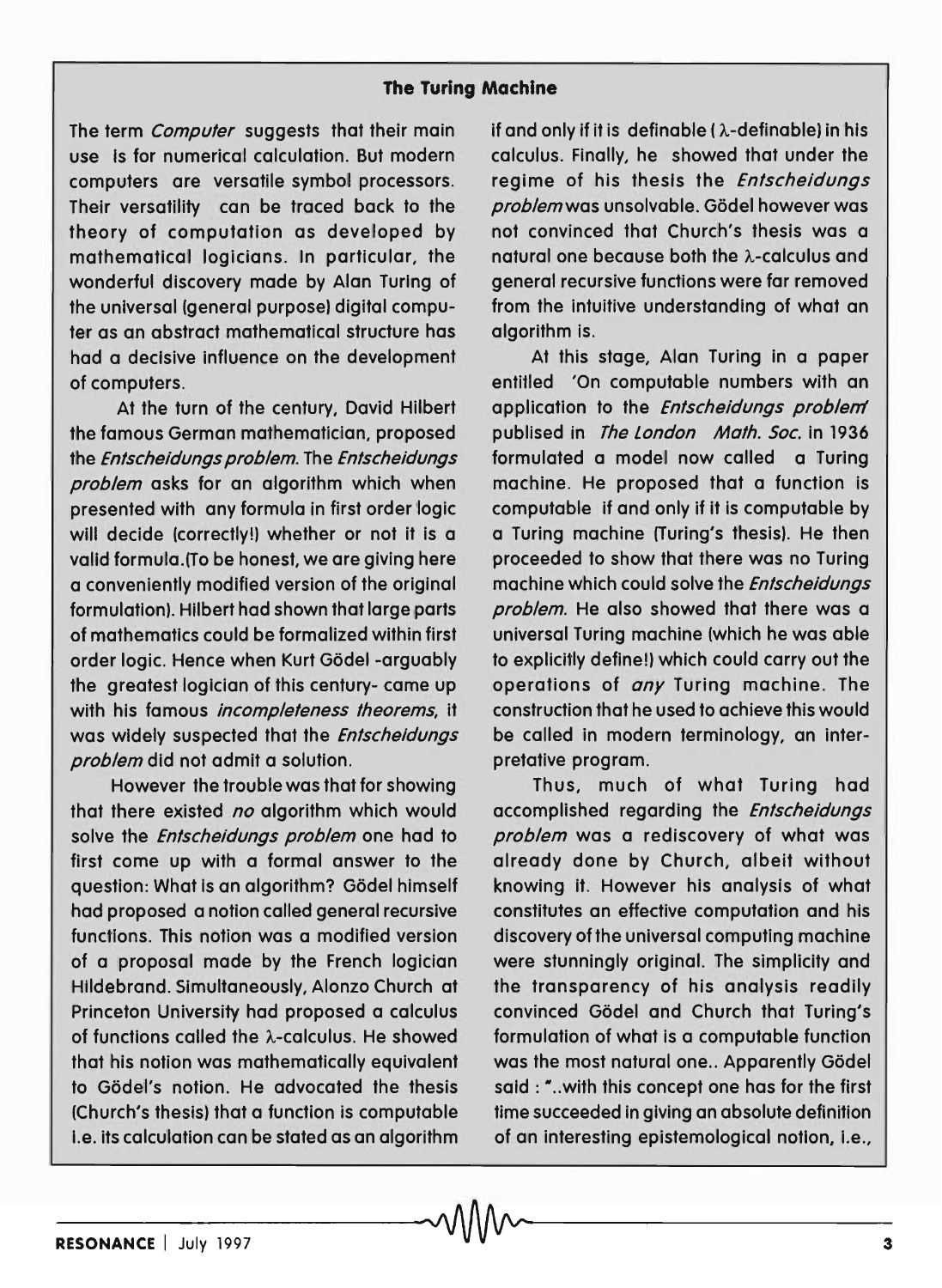## **The Turing Machine**

The term *Computer* suggests that their main use Is for numerical calculation. But modern computers are versatile symbol processors. Their versatility can be traced back to the theory of computation as developed by mathematical logicians. In particular, the wonderful discovery made by Alan Turing of the universal (general purpose) digital computer as an abstract mathematical structure has had a decisive influence on the development of computers.

At the turn of the century, David Hilbert the famous German mathematician, proposed the Entscheidungs problem. The Entscheidungs problem asks for an algorithm which when presented with any formula in first order logic will decide (correctly!) whether or not it is a valid formula.(To be honest, we are giving here a conveniently modified version of the original formulation). Hilbert had shown that large parts of mathematics could be formalized within first order logic. Hence when Kurt Gödel -arguably the greatest logician of this century- came up with his famous incompleteness theorems, it was widely suspected that the Entscheidungs problem did not admit a solution.

However the trouble was that for showing that there existed no algorithm which would solve the Entscheidungs problem one had to first come up with a formal answer to the question: What is an algorithm? Gödel himself had proposed a notion called general recursive functions. This notion was a modified version of a proposal made by the French logician Hildebrand. Simultaneously, Alonzo Church at Princeton University had proposed a calculus of functions called the A-calculus. He showed that his notion was mathematically equivalent to Gödel's notion. He advocated the thesis (Church's thesis) that a function is computable i.e. its calculation can be stated as an algorithm

if and only if it is definable ( $\lambda$ -definable) in his calculus. Finally, he showed that under the regime of his thesis the Entscheidungs problem was unsolvable. Gödel however was not convinced that Church's thesis was a natural one because both the A-calculus and general recursive functions were far removed from the intuitive understanding of what an algorithm is.

At this stage, Alan Turing in a paper entitled 'On computable numbers with an application to the Entscheidungs problem publised in The London Math. Soc. in 1936 formulated a model now called a Turing machine. He proposed that a function is computable if and only if it is computable by a Turing machine (Turing's thesis). He then proceeded to show that there was no Turing machine which could solve the Entscheidungs problem. He also showed that there was a universal Turing machine (which he was able to explicitly define!) which could carry out the operations of *any* Turing machine. The construction that he used to achieve this would be called in modern terminology, an interpretative program.

Thus, much of what Turing had accomplished regarding the Entscheidungs problem was a rediscovery of what was already done by Church, albeit without knowing it. However his analysis of what constitutes an effective computation and his discovery of the universal computing machine were stunningly original. The simplicity and the transparency of his analysis readily convinced Gödel and Church that Turing's formulation of what is a computable function was the most natural one.. Apparently Gödel said: "... with this concept one has for the first time succeeded in giving an absolute definition of an interesting epistemological notion, i.e.,